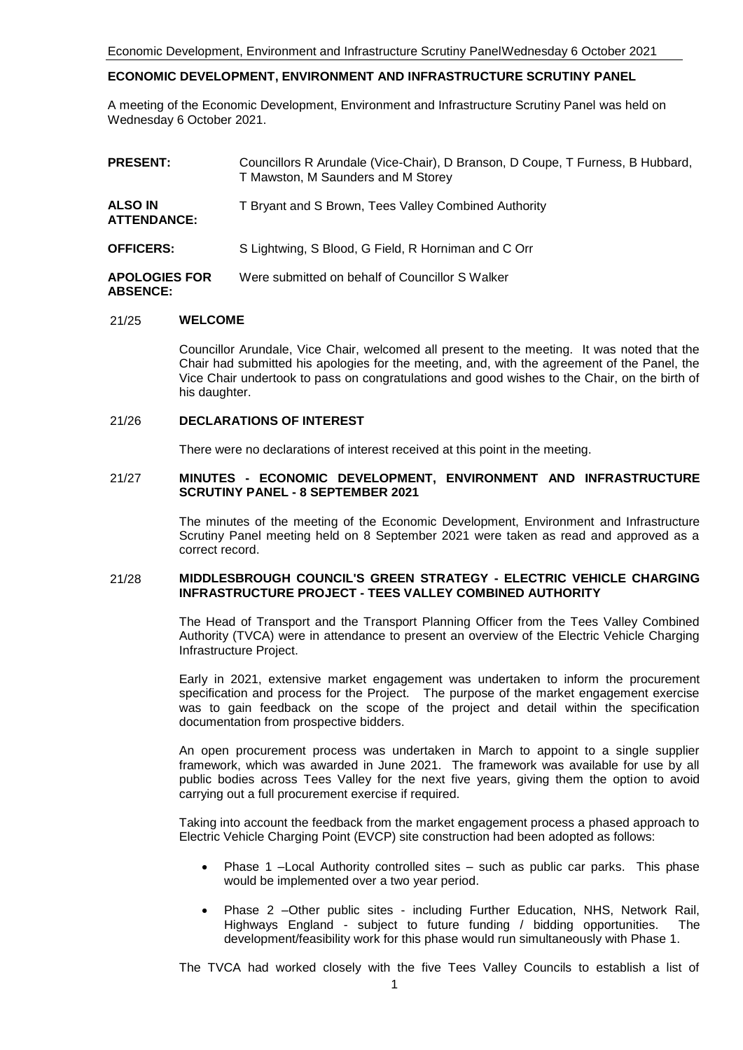# **ECONOMIC DEVELOPMENT, ENVIRONMENT AND INFRASTRUCTURE SCRUTINY PANEL**

A meeting of the Economic Development, Environment and Infrastructure Scrutiny Panel was held on Wednesday 6 October 2021.

| <b>PRESENT:</b>                         | Councillors R Arundale (Vice-Chair), D Branson, D Coupe, T Furness, B Hubbard,<br>T Mawston, M Saunders and M Storey |
|-----------------------------------------|----------------------------------------------------------------------------------------------------------------------|
| <b>ALSO IN</b><br><b>ATTENDANCE:</b>    | T Bryant and S Brown, Tees Valley Combined Authority                                                                 |
| <b>OFFICERS:</b>                        | S Lightwing, S Blood, G Field, R Horniman and C Orr                                                                  |
| <b>APOLOGIES FOR</b><br><b>ABSENCE:</b> | Were submitted on behalf of Councillor S Walker                                                                      |

# 21/25 **WELCOME**

Councillor Arundale, Vice Chair, welcomed all present to the meeting. It was noted that the Chair had submitted his apologies for the meeting, and, with the agreement of the Panel, the Vice Chair undertook to pass on congratulations and good wishes to the Chair, on the birth of his daughter.

### 21/26 **DECLARATIONS OF INTEREST**

There were no declarations of interest received at this point in the meeting.

#### 21/27 **MINUTES - ECONOMIC DEVELOPMENT, ENVIRONMENT AND INFRASTRUCTURE SCRUTINY PANEL - 8 SEPTEMBER 2021**

The minutes of the meeting of the Economic Development, Environment and Infrastructure Scrutiny Panel meeting held on 8 September 2021 were taken as read and approved as a correct record.

### 21/28 **MIDDLESBROUGH COUNCIL'S GREEN STRATEGY - ELECTRIC VEHICLE CHARGING INFRASTRUCTURE PROJECT - TEES VALLEY COMBINED AUTHORITY**

The Head of Transport and the Transport Planning Officer from the Tees Valley Combined Authority (TVCA) were in attendance to present an overview of the Electric Vehicle Charging Infrastructure Project.

Early in 2021, extensive market engagement was undertaken to inform the procurement specification and process for the Project. The purpose of the market engagement exercise was to gain feedback on the scope of the project and detail within the specification documentation from prospective bidders.

An open procurement process was undertaken in March to appoint to a single supplier framework, which was awarded in June 2021. The framework was available for use by all public bodies across Tees Valley for the next five years, giving them the option to avoid carrying out a full procurement exercise if required.

Taking into account the feedback from the market engagement process a phased approach to Electric Vehicle Charging Point (EVCP) site construction had been adopted as follows:

- Phase 1 –Local Authority controlled sites such as public car parks. This phase would be implemented over a two year period.
- Phase 2 –Other public sites including Further Education, NHS, Network Rail, Highways England - subject to future funding / bidding opportunities. The development/feasibility work for this phase would run simultaneously with Phase 1.

The TVCA had worked closely with the five Tees Valley Councils to establish a list of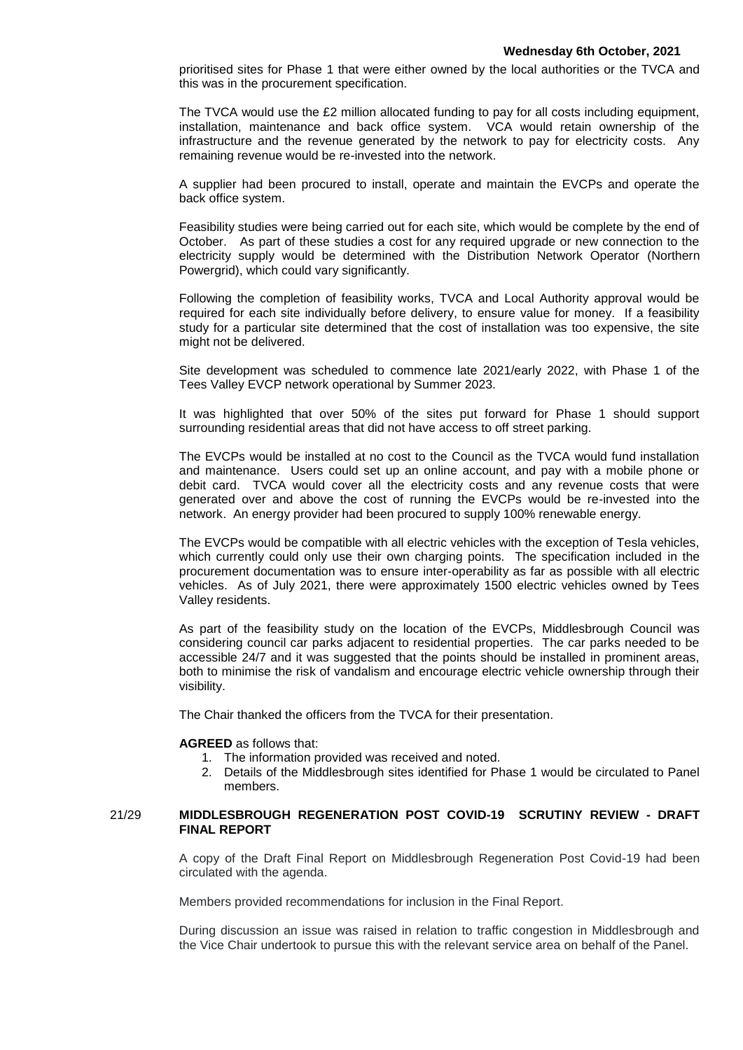prioritised sites for Phase 1 that were either owned by the local authorities or the TVCA and this was in the procurement specification.

The TVCA would use the £2 million allocated funding to pay for all costs including equipment, installation, maintenance and back office system. VCA would retain ownership of the infrastructure and the revenue generated by the network to pay for electricity costs. Any remaining revenue would be re-invested into the network.

A supplier had been procured to install, operate and maintain the EVCPs and operate the back office system.

Feasibility studies were being carried out for each site, which would be complete by the end of October. As part of these studies a cost for any required upgrade or new connection to the electricity supply would be determined with the Distribution Network Operator (Northern Powergrid), which could vary significantly.

Following the completion of feasibility works, TVCA and Local Authority approval would be required for each site individually before delivery, to ensure value for money. If a feasibility study for a particular site determined that the cost of installation was too expensive, the site might not be delivered.

Site development was scheduled to commence late 2021/early 2022, with Phase 1 of the Tees Valley EVCP network operational by Summer 2023.

It was highlighted that over 50% of the sites put forward for Phase 1 should support surrounding residential areas that did not have access to off street parking.

The EVCPs would be installed at no cost to the Council as the TVCA would fund installation and maintenance. Users could set up an online account, and pay with a mobile phone or debit card. TVCA would cover all the electricity costs and any revenue costs that were generated over and above the cost of running the EVCPs would be re-invested into the network. An energy provider had been procured to supply 100% renewable energy.

The EVCPs would be compatible with all electric vehicles with the exception of Tesla vehicles, which currently could only use their own charging points. The specification included in the procurement documentation was to ensure inter-operability as far as possible with all electric vehicles. As of July 2021, there were approximately 1500 electric vehicles owned by Tees Valley residents.

As part of the feasibility study on the location of the EVCPs, Middlesbrough Council was considering council car parks adjacent to residential properties. The car parks needed to be accessible 24/7 and it was suggested that the points should be installed in prominent areas, both to minimise the risk of vandalism and encourage electric vehicle ownership through their visibility.

The Chair thanked the officers from the TVCA for their presentation.

### **AGREED** as follows that:

- 1. The information provided was received and noted.
- 2. Details of the Middlesbrough sites identified for Phase 1 would be circulated to Panel members.

# 21/29 **MIDDLESBROUGH REGENERATION POST COVID-19 SCRUTINY REVIEW - DRAFT FINAL REPORT**

A copy of the Draft Final Report on Middlesbrough Regeneration Post Covid-19 had been circulated with the agenda.

Members provided recommendations for inclusion in the Final Report.

During discussion an issue was raised in relation to traffic congestion in Middlesbrough and the Vice Chair undertook to pursue this with the relevant service area on behalf of the Panel.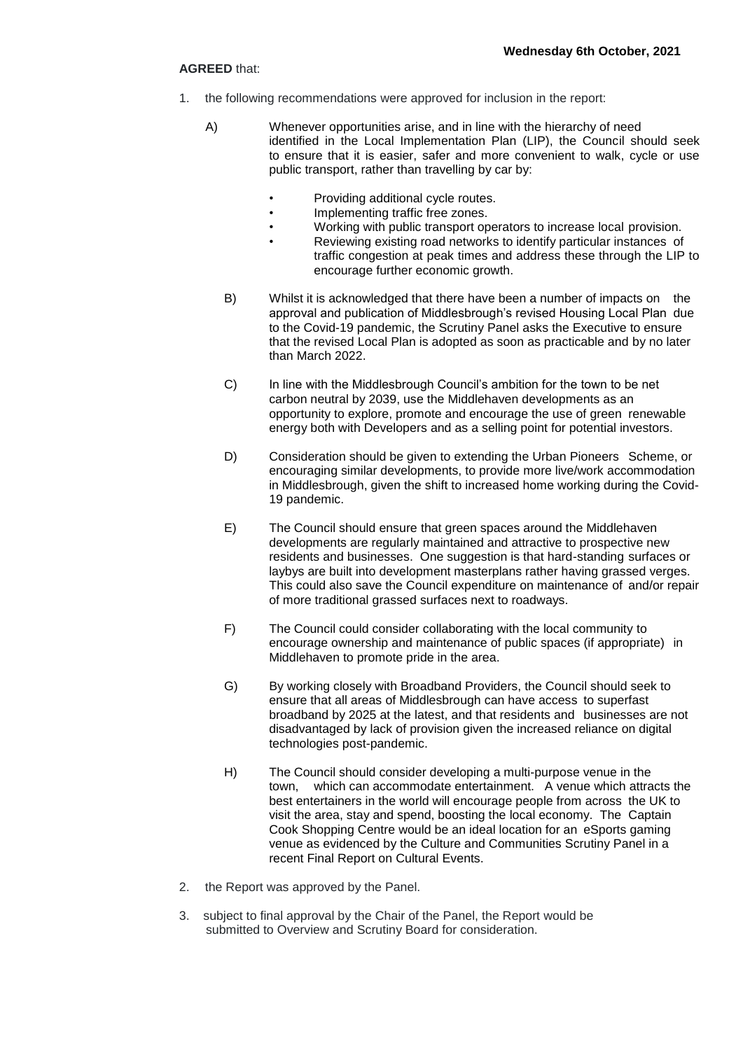### **AGREED** that:

- 1. the following recommendations were approved for inclusion in the report:
	- A) Whenever opportunities arise, and in line with the hierarchy of need identified in the Local Implementation Plan (LIP), the Council should seek to ensure that it is easier, safer and more convenient to walk, cycle or use public transport, rather than travelling by car by:
		- Providing additional cycle routes.
		- Implementing traffic free zones.
		- Working with public transport operators to increase local provision.
			- Reviewing existing road networks to identify particular instances of traffic congestion at peak times and address these through the LIP to encourage further economic growth.
		- B) Whilst it is acknowledged that there have been a number of impacts on the approval and publication of Middlesbrough's revised Housing Local Plan due to the Covid-19 pandemic, the Scrutiny Panel asks the Executive to ensure that the revised Local Plan is adopted as soon as practicable and by no later than March 2022.
		- C) In line with the Middlesbrough Council's ambition for the town to be net carbon neutral by 2039, use the Middlehaven developments as an opportunity to explore, promote and encourage the use of green renewable energy both with Developers and as a selling point for potential investors.
		- D) Consideration should be given to extending the Urban Pioneers Scheme, or encouraging similar developments, to provide more live/work accommodation in Middlesbrough, given the shift to increased home working during the Covid-19 pandemic.
		- E) The Council should ensure that green spaces around the Middlehaven developments are regularly maintained and attractive to prospective new residents and businesses. One suggestion is that hard-standing surfaces or laybys are built into development masterplans rather having grassed verges. This could also save the Council expenditure on maintenance of and/or repair of more traditional grassed surfaces next to roadways.
		- F) The Council could consider collaborating with the local community to encourage ownership and maintenance of public spaces (if appropriate) in Middlehaven to promote pride in the area.
		- G) By working closely with Broadband Providers, the Council should seek to ensure that all areas of Middlesbrough can have access to superfast broadband by 2025 at the latest, and that residents and businesses are not disadvantaged by lack of provision given the increased reliance on digital technologies post-pandemic.
		- H) The Council should consider developing a multi-purpose venue in the town, which can accommodate entertainment. A venue which attracts the best entertainers in the world will encourage people from across the UK to visit the area, stay and spend, boosting the local economy. The Captain Cook Shopping Centre would be an ideal location for an eSports gaming venue as evidenced by the Culture and Communities Scrutiny Panel in a recent Final Report on Cultural Events.
- 2. the Report was approved by the Panel.
- 3. subject to final approval by the Chair of the Panel, the Report would be submitted to Overview and Scrutiny Board for consideration.